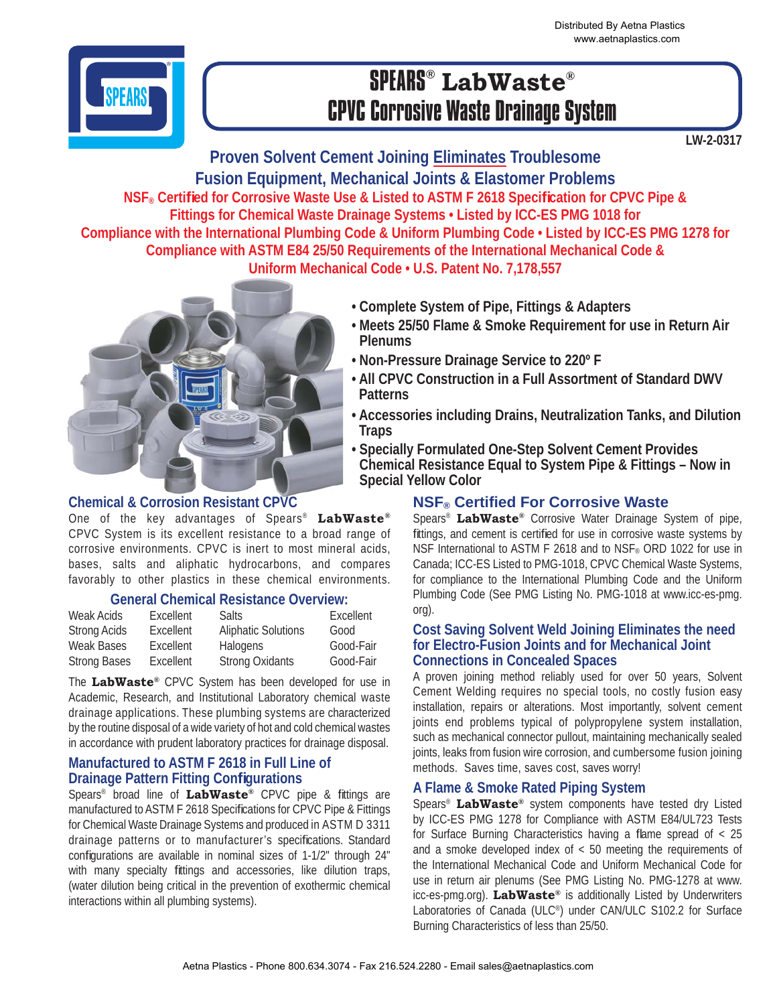Distributed By Aetna Plastics www.aetnaplastics.com



# SPEARS® **LabWaste®** CPVC Corrosive Waste Drainage System

**LW-2-0317**

**Proven Solvent Cement Joining Eliminates Troublesome Fusion Equipment, Mechanical Joints & Elastomer Problems NSF® Certifi ed for Corrosive Waste Use & Listed to ASTM F 2618 Specifi cation for CPVC Pipe & Fittings for Chemical Waste Drainage Systems • Listed by ICC-ES PMG 1018 for Compliance with the International Plumbing Code & Uniform Plumbing Code • Listed by ICC-ES PMG 1278 for Compliance with ASTM E84 25/50 Requirements of the International Mechanical Code & Uniform Mechanical Code • U.S. Patent No. 7,178,557**



### **Chemical & Corrosion Resistant CPVC**

One of the key advantages of Spears® **LabWaste®** CPVC System is its excellent resistance to a broad range of corrosive environments. CPVC is inert to most mineral acids, bases, salts and aliphatic hydrocarbons, and compares favorably to other plastics in these chemical environments.

### **General Chemical Resistance Overview:**

| Weak Acids          | Excellent | Salts:                     | Excellent |
|---------------------|-----------|----------------------------|-----------|
| <b>Strong Acids</b> | Excellent | <b>Aliphatic Solutions</b> | Good      |
| <b>Weak Bases</b>   | Excellent | Halogens                   | Good-Fair |
| <b>Strong Bases</b> | Excellent | <b>Strong Oxidants</b>     | Good-Fair |

The **LabWaste®** CPVC System has been developed for use in Academic, Research, and Institutional Laboratory chemical waste drainage applications. These plumbing systems are characterized by the routine disposal of a wide variety of hot and cold chemical wastes in accordance with prudent laboratory practices for drainage disposal.

### **Manufactured to ASTM F 2618 in Full Line of Drainage Pattern Fitting Configurations**

Spears<sup>®</sup> broad line of **LabWaste®** CPVC pipe & fittings are manufactured to ASTM F 2618 Specifications for CPVC Pipe & Fittings for Chemical Waste Drainage Systems and produced in ASTM D 3311 drainage patterns or to manufacturer's specifications. Standard configurations are available in nominal sizes of 1-1/2" through 24" with many specialty fittings and accessories, like dilution traps, (water dilution being critical in the prevention of exothermic chemical interactions within all plumbing systems).

- **Complete System of Pipe, Fittings & Adapters**
- **Meets 25/50 Flame & Smoke Requirement for use in Return Air Plenums**
- **Non-Pressure Drainage Service to 220º F**
- **All CPVC Construction in a Full Assortment of Standard DWV Patterns**
- **Accessories including Drains, Neutralization Tanks, and Dilution Traps**
- **Specially Formulated One-Step Solvent Cement Provides Chemical Resistance Equal to System Pipe & Fittings – Now in Special Yellow Color**

### **NSF® Certifi ed For Corrosive Waste**

Spears® **LabWaste®** Corrosive Water Drainage System of pipe, fittings, and cement is certified for use in corrosive waste systems by NSF International to ASTM F 2618 and to NSF® ORD 1022 for use in Canada; ICC-ES Listed to PMG-1018, CPVC Chemical Waste Systems, for compliance to the International Plumbing Code and the Uniform Plumbing Code (See PMG Listing No. PMG-1018 at www.icc-es-pmg. org).

### **Cost Saving Solvent Weld Joining Eliminates the need for Electro-Fusion Joints and for Mechanical Joint Connections in Concealed Spaces**

A proven joining method reliably used for over 50 years, Solvent Cement Welding requires no special tools, no costly fusion easy installation, repairs or alterations. Most importantly, solvent cement joints end problems typical of polypropylene system installation, such as mechanical connector pullout, maintaining mechanically sealed joints, leaks from fusion wire corrosion, and cumbersome fusion joining methods. Saves time, saves cost, saves worry!

### **A Flame & Smoke Rated Piping System**

Spears® **LabWaste®** system components have tested dry Listed by ICC-ES PMG 1278 for Compliance with ASTM E84/UL723 Tests for Surface Burning Characteristics having a flame spread of  $\langle 25 \rangle$ and a smoke developed index of < 50 meeting the requirements of the International Mechanical Code and Uniform Mechanical Code for use in return air plenums (See PMG Listing No. PMG-1278 at www. icc-es-pmg.org). **LabWaste®** is additionally Listed by Underwriters Laboratories of Canada (ULC®) under CAN/ULC S102.2 for Surface Burning Characteristics of less than 25/50.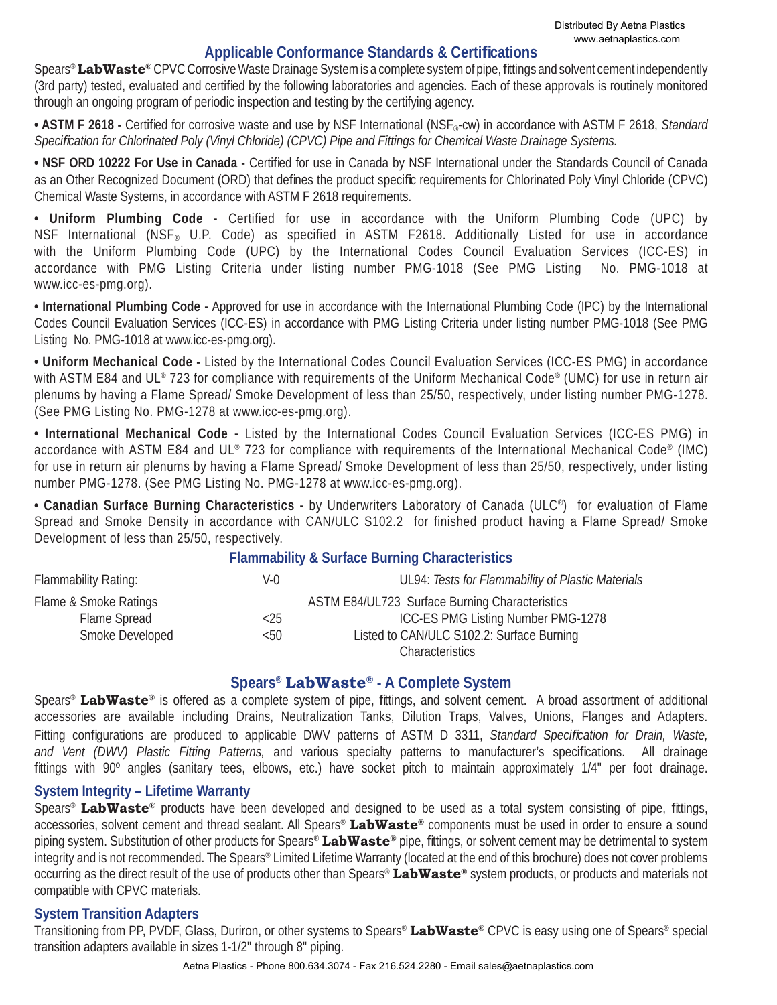### **Applicable Conformance Standards & Certifi cations**

Spears®**LabWaste®** CPVC Corrosive Waste Drainage System is a complete system of pipe, fi ttings and solvent cement independently (3rd party) tested, evaluated and certified by the following laboratories and agencies. Each of these approvals is routinely monitored through an ongoing program of periodic inspection and testing by the certifying agency.

• ASTM F 2618 - Certified for corrosive waste and use by NSF International (NSF<sub>®</sub>-cw) in accordance with ASTM F 2618, Standard *Specifi cation for Chlorinated Poly (Vinyl Chloride) (CPVC) Pipe and Fittings for Chemical Waste Drainage Systems.*

• NSF ORD 10222 For Use in Canada - Certified for use in Canada by NSF International under the Standards Council of Canada as an Other Recognized Document (ORD) that defines the product specific requirements for Chlorinated Poly Vinyl Chloride (CPVC) Chemical Waste Systems, in accordance with ASTM F 2618 requirements.

**• Uniform Plumbing Code -** Certified for use in accordance with the Uniform Plumbing Code (UPC) by NSF International (NSF® U.P. Code) as specified in ASTM F2618. Additionally Listed for use in accordance with the Uniform Plumbing Code (UPC) by the International Codes Council Evaluation Services (ICC-ES) in accordance with PMG Listing Criteria under listing number PMG-1018 (See PMG Listing No. PMG-1018 at www.icc-es-pmg.org).

**• International Plumbing Code -** Approved for use in accordance with the International Plumbing Code (IPC) by the International Codes Council Evaluation Services (ICC-ES) in accordance with PMG Listing Criteria under listing number PMG-1018 (See PMG Listing No. PMG-1018 at www.icc-es-pmg.org).

**• Uniform Mechanical Code -** Listed by the International Codes Council Evaluation Services (ICC-ES PMG) in accordance with ASTM E84 and UL® 723 for compliance with requirements of the Uniform Mechanical Code® (UMC) for use in return air plenums by having a Flame Spread/ Smoke Development of less than 25/50, respectively, under listing number PMG-1278. (See PMG Listing No. PMG-1278 at www.icc-es-pmg.org).

**• International Mechanical Code -** Listed by the International Codes Council Evaluation Services (ICC-ES PMG) in accordance with ASTM E84 and UL® 723 for compliance with requirements of the International Mechanical Code® (IMC) for use in return air plenums by having a Flame Spread/ Smoke Development of less than 25/50, respectively, under listing number PMG-1278. (See PMG Listing No. PMG-1278 at www.icc-es-pmg.org).

**• Canadian Surface Burning Characteristics -** by Underwriters Laboratory of Canada (ULC®) for evaluation of Flame Spread and Smoke Density in accordance with CAN/ULC S102.2 for finished product having a Flame Spread/ Smoke Development of less than 25/50, respectively.

### **Flammability & Surface Burning Characteristics**

| Flammability Rating:  | V-0     | UL94: Tests for Flammability of Plastic Materials |
|-----------------------|---------|---------------------------------------------------|
| Flame & Smoke Ratings |         | ASTM E84/UL723 Surface Burning Characteristics    |
| Flame Spread          | ${<}25$ | ICC-ES PMG Listing Number PMG-1278                |
| Smoke Developed       | < 50    | Listed to CAN/ULC S102.2: Surface Burning         |
|                       |         | <b>Characteristics</b>                            |

### **Spears® LabWaste® - A Complete System**

Spears<sup>®</sup> LabWaste<sup>®</sup> is offered as a complete system of pipe, fittings, and solvent cement. A broad assortment of additional accessories are available including Drains, Neutralization Tanks, Dilution Traps, Valves, Unions, Flanges and Adapters. Fitting configurations are produced to applicable DWV patterns of ASTM D 3311, *Standard Specification for Drain, Waste,* and Vent (DWV) Plastic Fitting Patterns, and various specialty patterns to manufacturer's specifications. All drainage fittings with 90° angles (sanitary tees, elbows, etc.) have socket pitch to maintain approximately 1/4" per foot drainage.

#### **System Integrity – Lifetime Warranty**

Spears<sup>®</sup> LabWaste<sup>®</sup> products have been developed and designed to be used as a total system consisting of pipe, fittings, accessories, solvent cement and thread sealant. All Spears® **LabWaste®** components must be used in order to ensure a sound piping system. Substitution of other products for Spears<sup>®</sup> LabWaste<sup>®</sup> pipe, fittings, or solvent cement may be detrimental to system integrity and is not recommended. The Spears® Limited Lifetime Warranty (located at the end of this brochure) does not cover problems occurring as the direct result of the use of products other than Spears® **LabWaste®** system products, or products and materials not compatible with CPVC materials.

### **System Transition Adapters**

Transitioning from PP, PVDF, Glass, Duriron, or other systems to Spears® **LabWaste®** CPVC is easy using one of Spears® special transition adapters available in sizes 1-1/2" through 8" piping.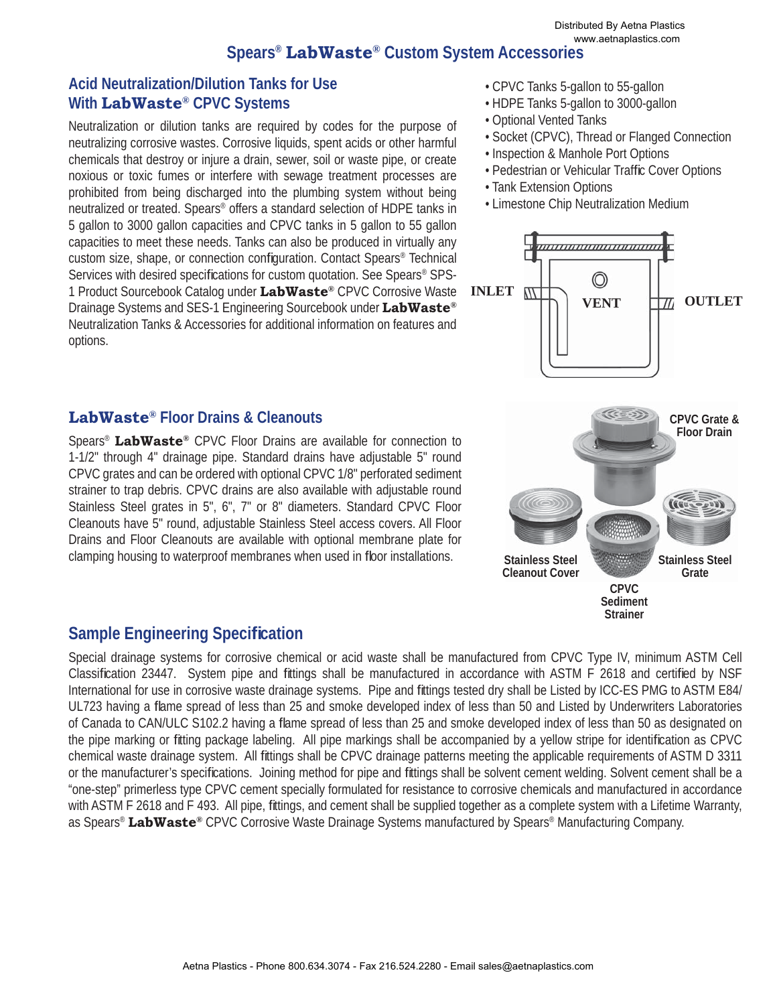## **Spears® LabWaste® Custom System Accessories**

### **Acid Neutralization/Dilution Tanks for Use With LabWaste® CPVC Systems**

Neutralization or dilution tanks are required by codes for the purpose of neutralizing corrosive wastes. Corrosive liquids, spent acids or other harmful chemicals that destroy or injure a drain, sewer, soil or waste pipe, or create noxious or toxic fumes or interfere with sewage treatment processes are prohibited from being discharged into the plumbing system without being neutralized or treated. Spears® offers a standard selection of HDPE tanks in 5 gallon to 3000 gallon capacities and CPVC tanks in 5 gallon to 55 gallon capacities to meet these needs. Tanks can also be produced in virtually any custom size, shape, or connection configuration. Contact Spears® Technical Services with desired specifications for custom quotation. See Spears<sup>®</sup> SPS-1 Product Sourcebook Catalog under **LabWaste®** CPVC Corrosive Waste Drainage Systems and SES-1 Engineering Sourcebook under **LabWaste®** Neutralization Tanks & Accessories for additional information on features and options.

### **LabWaste® Floor Drains & Cleanouts**

Spears® **LabWaste®** CPVC Floor Drains are available for connection to 1-1/2" through 4" drainage pipe. Standard drains have adjustable 5" round CPVC grates and can be ordered with optional CPVC 1/8" perforated sediment strainer to trap debris. CPVC drains are also available with adjustable round Stainless Steel grates in 5", 6", 7" or 8" diameters. Standard CPVC Floor Cleanouts have 5" round, adjustable Stainless Steel access covers. All Floor Drains and Floor Cleanouts are available with optional membrane plate for clamping housing to waterproof membranes when used in floor installations.

# **Sample Engineering Specification**

Special drainage systems for corrosive chemical or acid waste shall be manufactured from CPVC Type IV, minimum ASTM Cell Classification 23447. System pipe and fittings shall be manufactured in accordance with ASTM F 2618 and certified by NSF International for use in corrosive waste drainage systems. Pipe and fittings tested dry shall be Listed by ICC-ES PMG to ASTM E84/ UL723 having a flame spread of less than 25 and smoke developed index of less than 50 and Listed by Underwriters Laboratories of Canada to CAN/ULC S102.2 having a flame spread of less than 25 and smoke developed index of less than 50 as designated on the pipe marking or fitting package labeling. All pipe markings shall be accompanied by a yellow stripe for identification as CPVC chemical waste drainage system. All fittings shall be CPVC drainage patterns meeting the applicable requirements of ASTM D 3311 or the manufacturer's specifications. Joining method for pipe and fittings shall be solvent cement welding. Solvent cement shall be a "one-step" primerless type CPVC cement specially formulated for resistance to corrosive chemicals and manufactured in accordance with ASTM F 2618 and F 493. All pipe, fittings, and cement shall be supplied together as a complete system with a Lifetime Warranty, as Spears® **LabWaste®** CPVC Corrosive Waste Drainage Systems manufactured by Spears® Manufacturing Company.

- CPVC Tanks 5-gallon to 55-gallon
- HDPE Tanks 5-gallon to 3000-gallon
- Optional Vented Tanks
- Socket (CPVC), Thread or Flanged Connection
- Inspection & Manhole Port Options
- Pedestrian or Vehicular Traffic Cover Options
- Tank Extension Options
- Limestone Chip Neutralization Medium